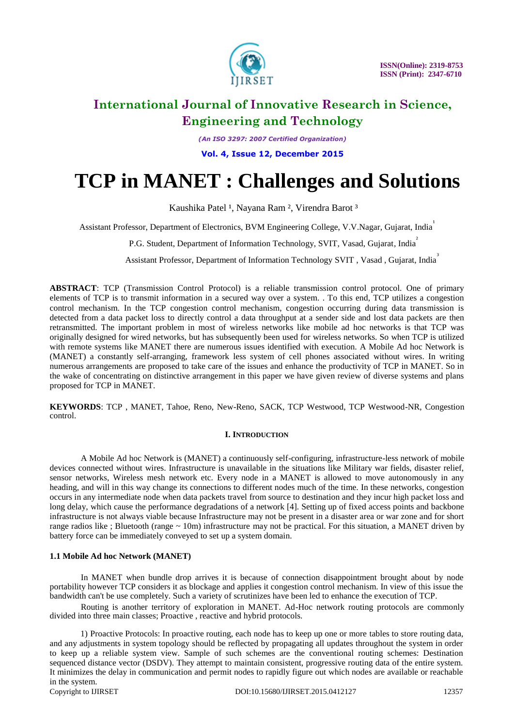

*(An ISO 3297: 2007 Certified Organization)*

**Vol. 4, Issue 12, December 2015**

# **TCP in MANET : Challenges and Solutions**

Kaushika Patel <sup>1</sup>, Nayana Ram <sup>2</sup>, Virendra Barot <sup>3</sup>

Assistant Professor, Department of Electronics, BVM Engineering College, V.V.Nagar, Gujarat, India

P.G. Student, Department of Information Technology, SVIT, Vasad, Gujarat, India<sup>2</sup>

Assistant Professor, Department of Information Technology SVIT, Vasad, Gujarat, India

**ABSTRACT**: TCP (Transmission Control Protocol) is a reliable transmission control protocol. One of primary elements of TCP is to transmit information in a secured way over a system. . To this end, TCP utilizes a congestion control mechanism. In the TCP congestion control mechanism, congestion occurring during data transmission is detected from a data packet loss to directly control a data throughput at a sender side and lost data packets are then retransmitted. The important problem in most of wireless networks like mobile ad hoc networks is that TCP was originally designed for wired networks, but has subsequently been used for wireless networks. So when TCP is utilized with remote systems like MANET there are numerous issues identified with execution. A Mobile Ad hoc Network is (MANET) a constantly self-arranging, framework less system of cell phones associated without wires. In writing numerous arrangements are proposed to take care of the issues and enhance the productivity of TCP in MANET. So in the wake of concentrating on distinctive arrangement in this paper we have given review of diverse systems and plans proposed for TCP in MANET.

**KEYWORDS**: TCP , MANET, Tahoe, Reno, New-Reno, SACK, TCP Westwood, TCP Westwood-NR, Congestion control.

### **I. INTRODUCTION**

A Mobile Ad hoc Network is (MANET) a continuously self-configuring, infrastructure-less network of mobile devices connected without wires. Infrastructure is unavailable in the situations like Military war fields, disaster relief, sensor networks, Wireless mesh network etc. Every node in a MANET is allowed to move autonomously in any heading, and will in this way change its connections to different nodes much of the time. In these networks, congestion occurs in any intermediate node when data packets travel from source to destination and they incur high packet loss and long delay, which cause the performance degradations of a network [4]. Setting up of fixed access points and backbone infrastructure is not always viable because Infrastructure may not be present in a disaster area or war zone and for short range radios like : Bluetooth (range  $\sim 10$ m) infrastructure may not be practical. For this situation, a MANET driven by battery force can be immediately conveyed to set up a system domain.

### **1.1 Mobile Ad hoc Network (MANET)**

In MANET when bundle drop arrives it is because of connection disappointment brought about by node portability however TCP considers it as blockage and applies it congestion control mechanism. In view of this issue the bandwidth can't be use completely. Such a variety of scrutinizes have been led to enhance the execution of TCP.

Routing is another territory of exploration in MANET. Ad-Hoc network routing protocols are commonly divided into three main classes; Proactive , reactive and hybrid protocols.

Copyright to IJIRSET 12357 DOI:10.15680/IJIRSET.2015.0412127 12357 1) Proactive Protocols: In proactive routing, each node has to keep up one or more tables to store routing data, and any adjustments in system topology should be reflected by propagating all updates throughout the system in order to keep up a reliable system view. Sample of such schemes are the conventional routing schemes: Destination sequenced distance vector (DSDV). They attempt to maintain consistent, progressive routing data of the entire system. It minimizes the delay in communication and permit nodes to rapidly figure out which nodes are available or reachable in the system.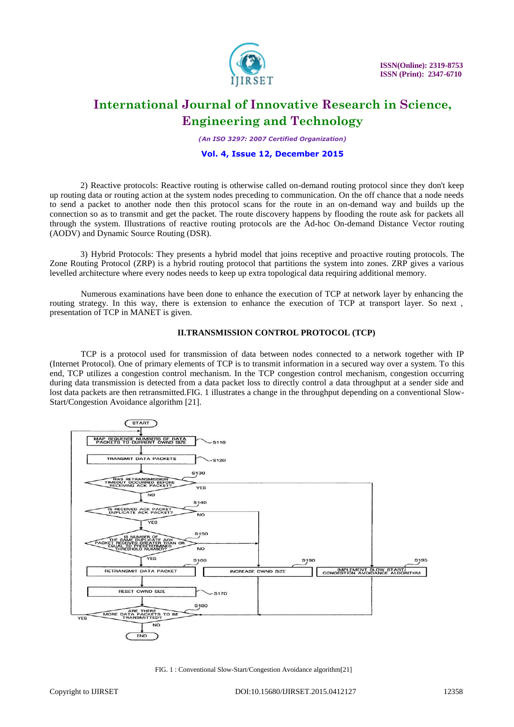

*(An ISO 3297: 2007 Certified Organization)*

### **Vol. 4, Issue 12, December 2015**

2) Reactive protocols: Reactive routing is otherwise called on-demand routing protocol since they don't keep up routing data or routing action at the system nodes preceding to communication. On the off chance that a node needs to send a packet to another node then this protocol scans for the route in an on-demand way and builds up the connection so as to transmit and get the packet. The route discovery happens by flooding the route ask for packets all through the system. Illustrations of reactive routing protocols are the Ad-hoc On-demand Distance Vector routing (AODV) and Dynamic Source Routing (DSR).

3) Hybrid Protocols: They presents a hybrid model that joins receptive and proactive routing protocols. The Zone Routing Protocol (ZRP) is a hybrid routing protocol that partitions the system into zones. ZRP gives a various levelled architecture where every nodes needs to keep up extra topological data requiring additional memory.

Numerous examinations have been done to enhance the execution of TCP at network layer by enhancing the routing strategy. In this way, there is extension to enhance the execution of TCP at transport layer. So next , presentation of TCP in MANET is given.

### **II.TRANSMISSION CONTROL PROTOCOL (TCP)**

TCP is a protocol used for transmission of data between nodes connected to a network together with IP (Internet Protocol). One of primary elements of TCP is to transmit information in a secured way over a system. To this end, TCP utilizes a congestion control mechanism. In the TCP congestion control mechanism, congestion occurring during data transmission is detected from a data packet loss to directly control a data throughput at a sender side and lost data packets are then retransmitted.FIG. 1 illustrates a change in the throughput depending on a conventional Slow-Start/Congestion Avoidance algorithm [21].



FIG. 1 : Conventional Slow-Start/Congestion Avoidance algorithm[21]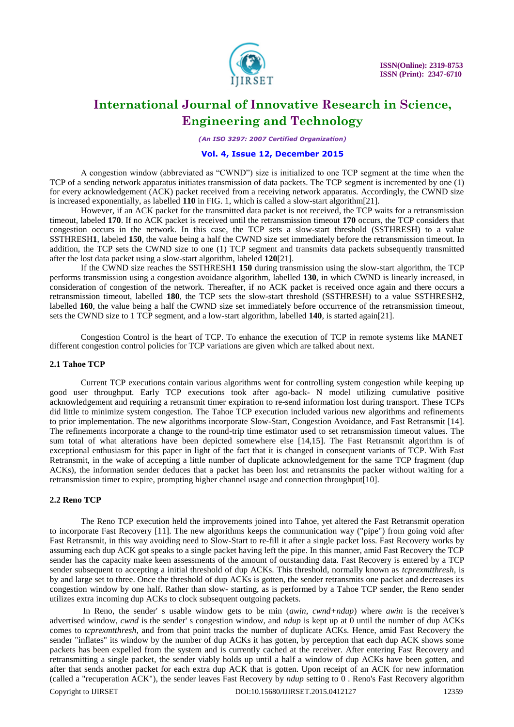

*(An ISO 3297: 2007 Certified Organization)*

### **Vol. 4, Issue 12, December 2015**

A congestion window (abbreviated as "CWND") size is initialized to one TCP segment at the time when the TCP of a sending network apparatus initiates transmission of data packets. The TCP segment is incremented by one (1) for every acknowledgement (ACK) packet received from a receiving network apparatus. Accordingly, the CWND size is increased exponentially, as labelled **110** in FIG. 1, which is called a slow-start algorithm[21].

However, if an ACK packet for the transmitted data packet is not received, the TCP waits for a retransmission timeout, labeled **170**. If no ACK packet is received until the retransmission timeout **170** occurs, the TCP considers that congestion occurs in the network. In this case, the TCP sets a slow-start threshold (SSTHRESH) to a value SSTHRESH**1**, labeled **150**, the value being a half the CWND size set immediately before the retransmission timeout. In addition, the TCP sets the CWND size to one (1) TCP segment and transmits data packets subsequently transmitted after the lost data packet using a slow-start algorithm, labeled **120**[21].

If the CWND size reaches the SSTHRESH**1 150** during transmission using the slow-start algorithm, the TCP performs transmission using a congestion avoidance algorithm, labelled **130**, in which CWND is linearly increased, in consideration of congestion of the network. Thereafter, if no ACK packet is received once again and there occurs a retransmission timeout, labelled **180**, the TCP sets the slow-start threshold (SSTHRESH) to a value SSTHRESH**2**, labelled **160**, the value being a half the CWND size set immediately before occurrence of the retransmission timeout, sets the CWND size to 1 TCP segment, and a low-start algorithm, labelled **140**, is started again[21].

Congestion Control is the heart of TCP. To enhance the execution of TCP in remote systems like MANET different congestion control policies for TCP variations are given which are talked about next.

### **2.1 Tahoe TCP**

Current TCP executions contain various algorithms went for controlling system congestion while keeping up good user throughput. Early TCP executions took after ago-back- N model utilizing cumulative positive acknowledgement and requiring a retransmit timer expiration to re-send information lost during transport. These TCPs did little to minimize system congestion. The Tahoe TCP execution included various new algorithms and refinements to prior implementation. The new algorithms incorporate Slow-Start, Congestion Avoidance, and Fast Retransmit [14]. The refinements incorporate a change to the round-trip time estimator used to set retransmission timeout values. The sum total of what alterations have been depicted somewhere else [14,15]. The Fast Retransmit algorithm is of exceptional enthusiasm for this paper in light of the fact that it is changed in consequent variants of TCP. With Fast Retransmit, in the wake of accepting a little number of duplicate acknowledgement for the same TCP fragment (dup ACKs), the information sender deduces that a packet has been lost and retransmits the packer without waiting for a retransmission timer to expire, prompting higher channel usage and connection throughput[10].

### **2.2 Reno TCP**

The Reno TCP execution held the improvements joined into Tahoe, yet altered the Fast Retransmit operation to incorporate Fast Recovery [11]. The new algorithms keeps the communication way ("pipe") from going void after Fast Retransmit, in this way avoiding need to Slow-Start to re-fill it after a single packet loss. Fast Recovery works by assuming each dup ACK got speaks to a single packet having left the pipe. In this manner, amid Fast Recovery the TCP sender has the capacity make keen assessments of the amount of outstanding data. Fast Recovery is entered by a TCP sender subsequent to accepting a initial threshold of dup ACKs. This threshold, normally known as *tcprexmtthresh,* is by and large set to three. Once the threshold of dup ACKs is gotten, the sender retransmits one packet and decreases its congestion window by one half. Rather than slow- starting, as is performed by a Tahoe TCP sender, the Reno sender utilizes extra incoming dup ACKs to clock subsequent outgoing packets.

Copyright to IJIRSET 12359 DOI:10.15680/IJIRSET.2015.0412127 12359 In Reno, the sender' s usable window gets to be min (*awin, cwnd+ndup*) where *awin* is the receiver's advertised window, *cwnd* is the sender' s congestion window, and *ndup* is kept up at 0 until the number of dup ACKs comes to *tcprexmtthresh*, and from that point tracks the number of duplicate ACKs. Hence, amid Fast Recovery the sender "inflates" its window by the number of dup ACKs it has gotten, by perception that each dup ACK shows some packets has been expelled from the system and is currently cached at the receiver. After entering Fast Recovery and retransmitting a single packet, the sender viably holds up until a half a window of dup ACKs have been gotten, and after that sends another packet for each extra dup ACK that is gotten. Upon receipt of an ACK for new information (called a "recuperation ACK"), the sender leaves Fast Recovery by *ndup* setting to 0 . Reno's Fast Recovery algorithm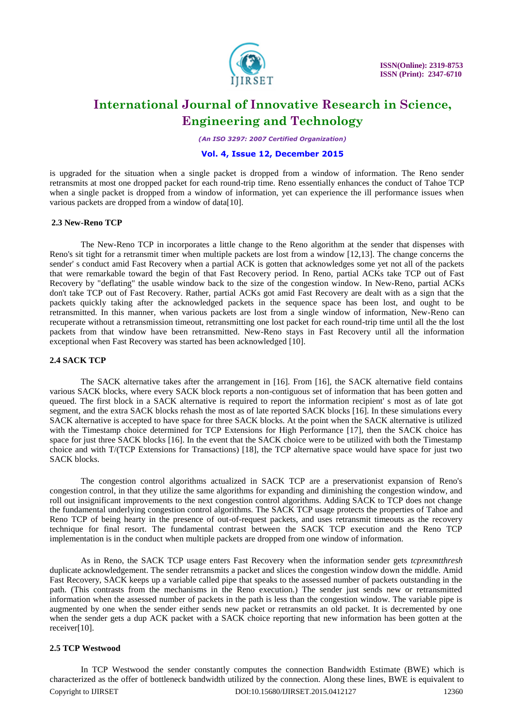

*(An ISO 3297: 2007 Certified Organization)*

### **Vol. 4, Issue 12, December 2015**

is upgraded for the situation when a single packet is dropped from a window of information. The Reno sender retransmits at most one dropped packet for each round-trip time. Reno essentially enhances the conduct of Tahoe TCP when a single packet is dropped from a window of information, yet can experience the ill performance issues when various packets are dropped from a window of data[10].

### **2.3 New-Reno TCP**

The New-Reno TCP in incorporates a little change to the Reno algorithm at the sender that dispenses with Reno's sit tight for a retransmit timer when multiple packets are lost from a window [12,13]. The change concerns the sender' s conduct amid Fast Recovery when a partial ACK is gotten that acknowledges some yet not all of the packets that were remarkable toward the begin of that Fast Recovery period. In Reno, partial ACKs take TCP out of Fast Recovery by "deflating" the usable window back to the size of the congestion window. In New-Reno, partial ACKs don't take TCP out of Fast Recovery. Rather, partial ACKs got amid Fast Recovery are dealt with as a sign that the packets quickly taking after the acknowledged packets in the sequence space has been lost, and ought to be retransmitted. In this manner, when various packets are lost from a single window of information, New-Reno can recuperate without a retransmission timeout, retransmitting one lost packet for each round-trip time until all the the lost packets from that window have been retransmitted. New-Reno stays in Fast Recovery until all the information exceptional when Fast Recovery was started has been acknowledged [10].

### **2.4 SACK TCP**

The SACK alternative takes after the arrangement in [16]. From [16], the SACK alternative field contains various SACK blocks, where every SACK block reports a non-contiguous set of information that has been gotten and queued. The first block in a SACK alternative is required to report the information recipient' s most as of late got segment, and the extra SACK blocks rehash the most as of late reported SACK blocks [16]. In these simulations every SACK alternative is accepted to have space for three SACK blocks. At the point when the SACK alternative is utilized with the Timestamp choice determined for TCP Extensions for High Performance [17], then the SACK choice has space for just three SACK blocks [16]. In the event that the SACK choice were to be utilized with both the Timestamp choice and with T/(TCP Extensions for Transactions) [18], the TCP alternative space would have space for just two SACK blocks.

The congestion control algorithms actualized in SACK TCP are a preservationist expansion of Reno's congestion control, in that they utilize the same algorithms for expanding and diminishing the congestion window, and roll out insignificant improvements to the next congestion control algorithms. Adding SACK to TCP does not change the fundamental underlying congestion control algorithms. The SACK TCP usage protects the properties of Tahoe and Reno TCP of being hearty in the presence of out-of-request packets, and uses retransmit timeouts as the recovery technique for final resort. The fundamental contrast between the SACK TCP execution and the Reno TCP implementation is in the conduct when multiple packets are dropped from one window of information.

As in Reno, the SACK TCP usage enters Fast Recovery when the information sender gets *tcprexmtthresh* duplicate acknowledgement. The sender retransmits a packet and slices the congestion window down the middle. Amid Fast Recovery, SACK keeps up a variable called pipe that speaks to the assessed number of packets outstanding in the path. (This contrasts from the mechanisms in the Reno execution.) The sender just sends new or retransmitted information when the assessed number of packets in the path is less than the congestion window. The variable pipe is augmented by one when the sender either sends new packet or retransmits an old packet. It is decremented by one when the sender gets a dup ACK packet with a SACK choice reporting that new information has been gotten at the receiver[10].

### **2.5 TCP Westwood**

Copyright to IJIRSET 12360 DOI:10.15680/IJIRSET.2015.0412127 12360 In TCP Westwood the sender constantly computes the connection Bandwidth Estimate (BWE) which is characterized as the offer of bottleneck bandwidth utilized by the connection. Along these lines, BWE is equivalent to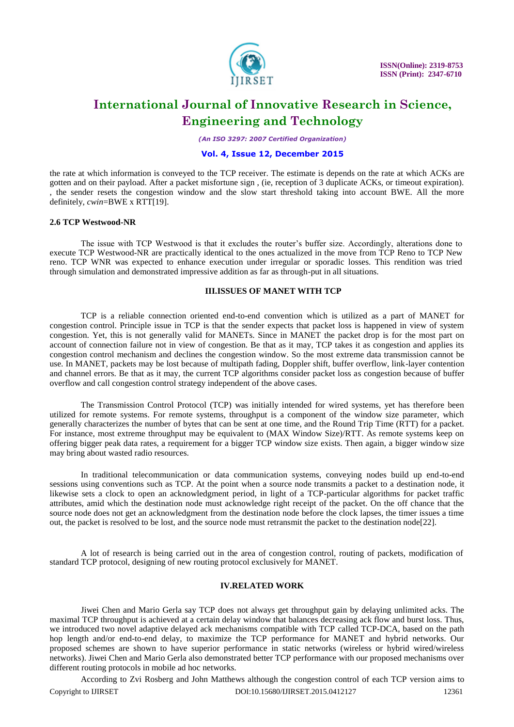

*(An ISO 3297: 2007 Certified Organization)*

### **Vol. 4, Issue 12, December 2015**

the rate at which information is conveyed to the TCP receiver. The estimate is depends on the rate at which ACKs are gotten and on their payload. After a packet misfortune sign , (ie, reception of 3 duplicate ACKs, or timeout expiration). , the sender resets the congestion window and the slow start threshold taking into account BWE. All the more definitely, *cwin*=BWE x RTT[19].

#### **2.6 TCP Westwood-NR**

The issue with TCP Westwood is that it excludes the router"s buffer size. Accordingly, alterations done to execute TCP Westwood-NR are practically identical to the ones actualized in the move from TCP Reno to TCP New reno. TCP WNR was expected to enhance execution under irregular or sporadic losses. This rendition was tried through simulation and demonstrated impressive addition as far as through-put in all situations.

### **III.ISSUES OF MANET WITH TCP**

TCP is a reliable connection oriented end-to-end convention which is utilized as a part of MANET for congestion control. Principle issue in TCP is that the sender expects that packet loss is happened in view of system congestion. Yet, this is not generally valid for MANETs. Since in MANET the packet drop is for the most part on account of connection failure not in view of congestion. Be that as it may, TCP takes it as congestion and applies its congestion control mechanism and declines the congestion window. So the most extreme data transmission cannot be use. In MANET, packets may be lost because of multipath fading, Doppler shift, buffer overflow, link-layer contention and channel errors. Be that as it may, the current TCP algorithms consider packet loss as congestion because of buffer overflow and call congestion control strategy independent of the above cases.

The Transmission Control Protocol (TCP) was initially intended for wired systems, yet has therefore been utilized for remote systems. For remote systems, throughput is a component of the window size parameter, which generally characterizes the number of bytes that can be sent at one time, and the Round Trip Time (RTT) for a packet. For instance, most extreme throughput may be equivalent to (MAX Window Size)/RTT. As remote systems keep on offering bigger peak data rates, a requirement for a bigger TCP window size exists. Then again, a bigger window size may bring about wasted radio resources.

In traditional telecommunication or data communication systems, conveying nodes build up end-to-end sessions using conventions such as TCP. At the point when a source node transmits a packet to a destination node, it likewise sets a clock to open an acknowledgment period, in light of a TCP-particular algorithms for packet traffic attributes, amid which the destination node must acknowledge right receipt of the packet. On the off chance that the source node does not get an acknowledgment from the destination node before the clock lapses, the timer issues a time out, the packet is resolved to be lost, and the source node must retransmit the packet to the destination node[22].

A lot of research is being carried out in the area of congestion control, routing of packets, modification of standard TCP protocol, designing of new routing protocol exclusively for MANET.

#### **IV.RELATED WORK**

Jiwei Chen and Mario Gerla say TCP does not always get throughput gain by delaying unlimited acks. The maximal TCP throughput is achieved at a certain delay window that balances decreasing ack flow and burst loss. Thus, we introduced two novel adaptive delayed ack mechanisms compatible with TCP called TCP-DCA, based on the path hop length and/or end-to-end delay, to maximize the TCP performance for MANET and hybrid networks. Our proposed schemes are shown to have superior performance in static networks (wireless or hybrid wired/wireless networks). Jiwei Chen and Mario Gerla also demonstrated better TCP performance with our proposed mechanisms over different routing protocols in mobile ad hoc networks.

Copyright to IJIRSET **DOI:10.15680/IJIRSET.2015.0412127** 12361 According to Zvi Rosberg and John Matthews although the congestion control of each TCP version aims to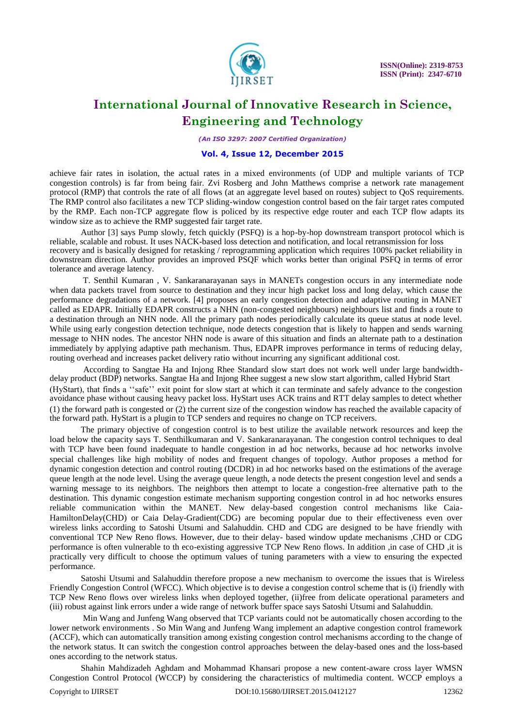

*(An ISO 3297: 2007 Certified Organization)*

### **Vol. 4, Issue 12, December 2015**

achieve fair rates in isolation, the actual rates in a mixed environments (of UDP and multiple variants of TCP congestion controls) is far from being fair. Zvi Rosberg and John Matthews comprise a network rate management protocol (RMP) that controls the rate of all flows (at an aggregate level based on routes) subject to QoS requirements. The RMP control also facilitates a new TCP sliding-window congestion control based on the fair target rates computed by the RMP. Each non-TCP aggregate flow is policed by its respective edge router and each TCP flow adapts its window size as to achieve the RMP suggested fair target rate.

Author [3] says Pump slowly, fetch quickly (PSFQ) is a hop-by-hop downstream transport protocol which is reliable, scalable and robust. It uses NACK-based loss detection and notification, and local retransmission for loss recovery and is basically designed for retasking / reprogramming application which requires 100% packet reliability in downstream direction. Author provides an improved PSQF which works better than original PSFQ in terms of error tolerance and average latency.

T. Senthil Kumaran , V. Sankaranarayanan says in MANETs congestion occurs in any intermediate node when data packets travel from source to destination and they incur high packet loss and long delay, which cause the performance degradations of a network. [4] proposes an early congestion detection and adaptive routing in MANET called as EDAPR. Initially EDAPR constructs a NHN (non-congested neighbours) neighbours list and finds a route to a destination through an NHN node. All the primary path nodes periodically calculate its queue status at node level. While using early congestion detection technique, node detects congestion that is likely to happen and sends warning message to NHN nodes. The ancestor NHN node is aware of this situation and finds an alternate path to a destination immediately by applying adaptive path mechanism. Thus, EDAPR improves performance in terms of reducing delay, routing overhead and increases packet delivery ratio without incurring any significant additional cost.

According to Sangtae Ha and Injong Rhee Standard slow start does not work well under large bandwidthdelay product (BDP) networks. Sangtae Ha and Injong Rhee suggest a new slow start algorithm, called Hybrid Start (HyStart), that finds a ""safe"" exit point for slow start at which it can terminate and safely advance to the congestion avoidance phase without causing heavy packet loss. HyStart uses ACK trains and RTT delay samples to detect whether (1) the forward path is congested or (2) the current size of the congestion window has reached the available capacity of the forward path. HyStart is a plugin to TCP senders and requires no change on TCP receivers.

The primary objective of congestion control is to best utilize the available network resources and keep the load below the capacity says T. Senthilkumaran and V. Sankaranarayanan. The congestion control techniques to deal with TCP have been found inadequate to handle congestion in ad hoc networks, because ad hoc networks involve special challenges like high mobility of nodes and frequent changes of topology. Author proposes a method for dynamic congestion detection and control routing (DCDR) in ad hoc networks based on the estimations of the average queue length at the node level. Using the average queue length, a node detects the present congestion level and sends a warning message to its neighbors. The neighbors then attempt to locate a congestion-free alternative path to the destination. This dynamic congestion estimate mechanism supporting congestion control in ad hoc networks ensures reliable communication within the MANET. New delay-based congestion control mechanisms like Caia-HamiltonDelay(CHD) or Caia Delay-Gradient(CDG) are becoming popular due to their effectiveness even over wireless links according to Satoshi Utsumi and Salahuddin. CHD and CDG are designed to be have friendly with conventional TCP New Reno flows. However, due to their delay- based window update mechanisms ,CHD or CDG performance is often vulnerable to th eco-existing aggressive TCP New Reno flows. In addition ,in case of CHD ,it is practically very difficult to choose the optimum values of tuning parameters with a view to ensuring the expected performance.

Satoshi Utsumi and Salahuddin therefore propose a new mechanism to overcome the issues that is Wireless Friendly Congestion Control (WFCC). Which objective is to devise a congestion control scheme that is (i) friendly with TCP New Reno flows over wireless links when deployed together, (ii)free from delicate operational parameters and (iii) robust against link errors under a wide range of network buffer space says Satoshi Utsumi and Salahuddin.

Min Wang and Junfeng Wang observed that TCP variants could not be automatically chosen according to the lower network environments . So Min Wang and Junfeng Wang implement an adaptive congestion control framework (ACCF), which can automatically transition among existing congestion control mechanisms according to the change of the network status. It can switch the congestion control approaches between the delay-based ones and the loss-based ones according to the network status.

Shahin Mahdizadeh Aghdam and Mohammad Khansari propose a new content-aware cross layer WMSN Congestion Control Protocol (WCCP) by considering the characteristics of multimedia content. WCCP employs a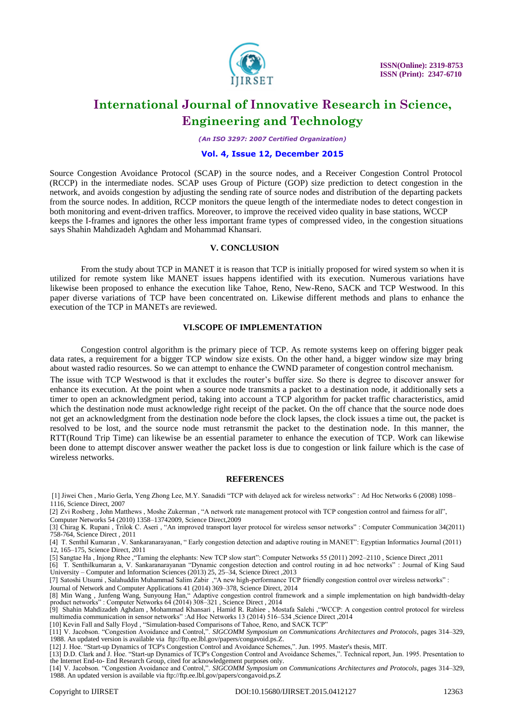

*(An ISO 3297: 2007 Certified Organization)*

#### **Vol. 4, Issue 12, December 2015**

Source Congestion Avoidance Protocol (SCAP) in the source nodes, and a Receiver Congestion Control Protocol (RCCP) in the intermediate nodes. SCAP uses Group of Picture (GOP) size prediction to detect congestion in the network, and avoids congestion by adjusting the sending rate of source nodes and distribution of the departing packets from the source nodes. In addition, RCCP monitors the queue length of the intermediate nodes to detect congestion in both monitoring and event-driven traffics. Moreover, to improve the received video quality in base stations, WCCP keeps the I-frames and ignores the other less important frame types of compressed video, in the congestion situations says Shahin Mahdizadeh Aghdam and Mohammad Khansari.

#### **V. CONCLUSION**

From the study about TCP in MANET it is reason that TCP is initially proposed for wired system so when it is utilized for remote system like MANET issues happens identified with its execution. Numerous variations have likewise been proposed to enhance the execution like Tahoe, Reno, New-Reno, SACK and TCP Westwood. In this paper diverse variations of TCP have been concentrated on. Likewise different methods and plans to enhance the execution of the TCP in MANETs are reviewed.

### **VI.SCOPE OF IMPLEMENTATION**

Congestion control algorithm is the primary piece of TCP. As remote systems keep on offering bigger peak data rates, a requirement for a bigger TCP window size exists. On the other hand, a bigger window size may bring about wasted radio resources. So we can attempt to enhance the CWND parameter of congestion control mechanism.

The issue with TCP Westwood is that it excludes the router"s buffer size. So there is degree to discover answer for enhance its execution. At the point when a source node transmits a packet to a destination node, it additionally sets a timer to open an acknowledgment period, taking into account a TCP algorithm for packet traffic characteristics, amid which the destination node must acknowledge right receipt of the packet. On the off chance that the source node does not get an acknowledgment from the destination node before the clock lapses, the clock issues a time out, the packet is resolved to be lost, and the source node must retransmit the packet to the destination node. In this manner, the RTT(Round Trip Time) can likewise be an essential parameter to enhance the execution of TCP. Work can likewise been done to attempt discover answer weather the packet loss is due to congestion or link failure which is the case of wireless networks.

#### **REFERENCES**

[1] Jiwei Chen , Mario Gerla, Yeng Zhong Lee, M.Y. Sanadidi "TCP with delayed ack for wireless networks" : Ad Hoc Networks 6 (2008) 1098– 1116, Science Direct, 2007

[2] Zvi Rosberg , John Matthews , Moshe Zukerman , "A network rate management protocol with TCP congestion control and fairness for all", Computer Networks 54 (2010) 1358–13742009, Science Direct,2009

[3] Chirag K. Rupani , Trilok C. Aseri , "An improved transport layer protocol for wireless sensor networks" : Computer Communication 34(2011) 758-764, Science Direct , 2011

[4] T. Senthil Kumaran , V. Sankaranarayanan, " Early congestion detection and adaptive routing in MANET": Egyptian Informatics Journal (2011) 12, 165–175, Science Direct, 2011

[5] Sangtae Ha , Injong Rhee ,"Taming the elephants: New TCP slow start": Computer Networks 55 (2011) 2092–2110 , Science Direct ,2011

[6] T. Senthilkumaran a, V. Sankaranarayanan "Dynamic congestion detection and control routing in ad hoc networks" : Journal of King Saud University – Computer and Information Sciences (2013) 25, 25–34, Science Direct ,2013

[7] Satoshi Utsumi , Salahuddin Muhammad Salim Zabir ,"A new high-performance TCP friendly congestion control over wireless networks" :

Journal of Network and Computer Applications 41 (2014) 369–378, Science Direct, 2014 [8] Min Wang , Junfeng Wang, Sunyoung Han," Adaptive congestion control framework and a simple implementation on high bandwidth-delay product networks" : Computer Networks 64 (2014) 308–321 , Science Direct , 2014

[9] Shahin Mahdizadeh Aghdam , Mohammad Khansari , Hamid R. Rabiee , Mostafa Salehi ,"WCCP: A congestion control protocol for wireless multimedia communication in sensor networks" :Ad Hoc Networks 13 (2014) 516–534 ,Science Direct ,2014

[10] Kevin Fall and Sally Floyd , "Simulation-based Comparisons of Tahoe, Reno, and SACK TCP"

[11] V. Jacobson. "Congestion Avoidance and Control,". *SIGCOMM Symposium on Communications Architectures and Protocols*, pages 314–329, 1988. An updated version is available vi[a ftp://ftp.ee.lbl.gov/papers/congavoid.ps.Z.](ftp://ftp.ee.lbl.gov/papers/congavoid.ps.Z) 

[12] J. Hoe. "Start-up Dynamics of TCP's Congestion Control and Avoidance Schemes,". Jun. 1995. Master's thesis, MIT.

[13] D.D. Clark and J. Hoe. "Start-up Dynamics of TCP's Congestion Control and Avoidance Schemes,". Technical report, Jun. 1995. Presentation to the Internet End-to- End Research Group, cited for acknowledgement purposes only.

[14] V. Jacobson. "Congestion Avoidance and Control,". *SIGCOMM Symposium on Communications Architectures and Protocols*, pages 314–329, 1988. An updated version is available via ftp://ftp.ee.lbl.gov/papers/congavoid.ps.Z